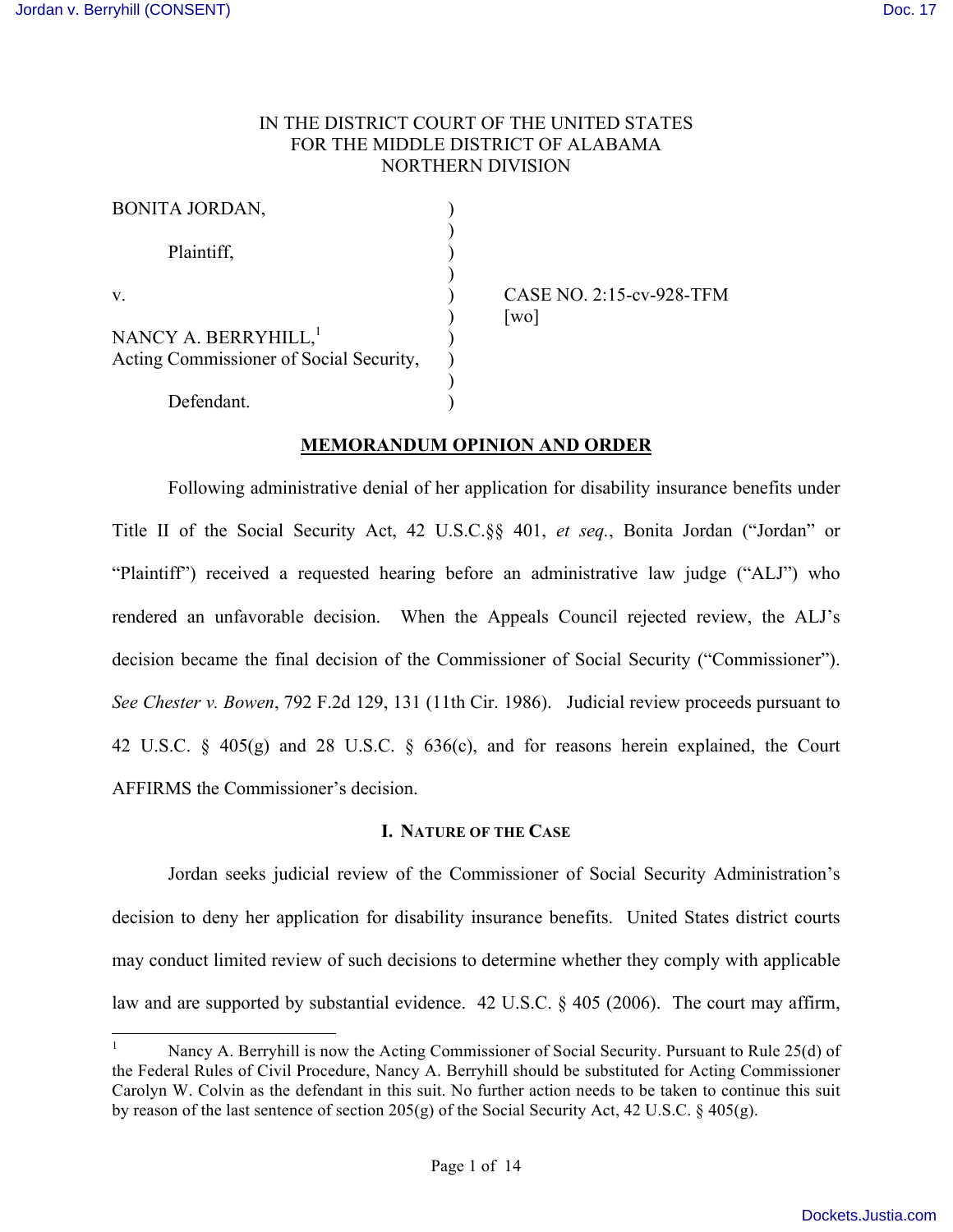## IN THE DISTRICT COURT OF THE UNITED STATES FOR THE MIDDLE DISTRICT OF ALABAMA NORTHERN DIVISION

| <b>BONITA JORDAN,</b>                                                       |  |
|-----------------------------------------------------------------------------|--|
| Plaintiff,                                                                  |  |
| V                                                                           |  |
| NANCY A. BERRYHILL, <sup>1</sup><br>Acting Commissioner of Social Security, |  |
| Defendant.                                                                  |  |

CASE NO. 2:15-cv-928-TFM  $\lceil$ wo $\rceil$ 

### **MEMORANDUM OPINION AND ORDER**

Following administrative denial of her application for disability insurance benefits under Title II of the Social Security Act, 42 U.S.C.§§ 401, *et seq.*, Bonita Jordan ("Jordan" or "Plaintiff") received a requested hearing before an administrative law judge ("ALJ") who rendered an unfavorable decision. When the Appeals Council rejected review, the ALJ's decision became the final decision of the Commissioner of Social Security ("Commissioner"). *See Chester v. Bowen*, 792 F.2d 129, 131 (11th Cir. 1986). Judicial review proceeds pursuant to 42 U.S.C. § 405(g) and 28 U.S.C. § 636(c), and for reasons herein explained, the Court AFFIRMS the Commissioner's decision.

#### **I. NATURE OF THE CASE**

Jordan seeks judicial review of the Commissioner of Social Security Administration's decision to deny her application for disability insurance benefits. United States district courts may conduct limited review of such decisions to determine whether they comply with applicable law and are supported by substantial evidence. 42 U.S.C. § 405 (2006). The court may affirm,

Nancy A. Berryhill is now the Acting Commissioner of Social Security. Pursuant to Rule 25(d) of the Federal Rules of Civil Procedure, Nancy A. Berryhill should be substituted for Acting Commissioner Carolyn W. Colvin as the defendant in this suit. No further action needs to be taken to continue this suit by reason of the last sentence of section 205(g) of the Social Security Act, 42 U.S.C. § 405(g).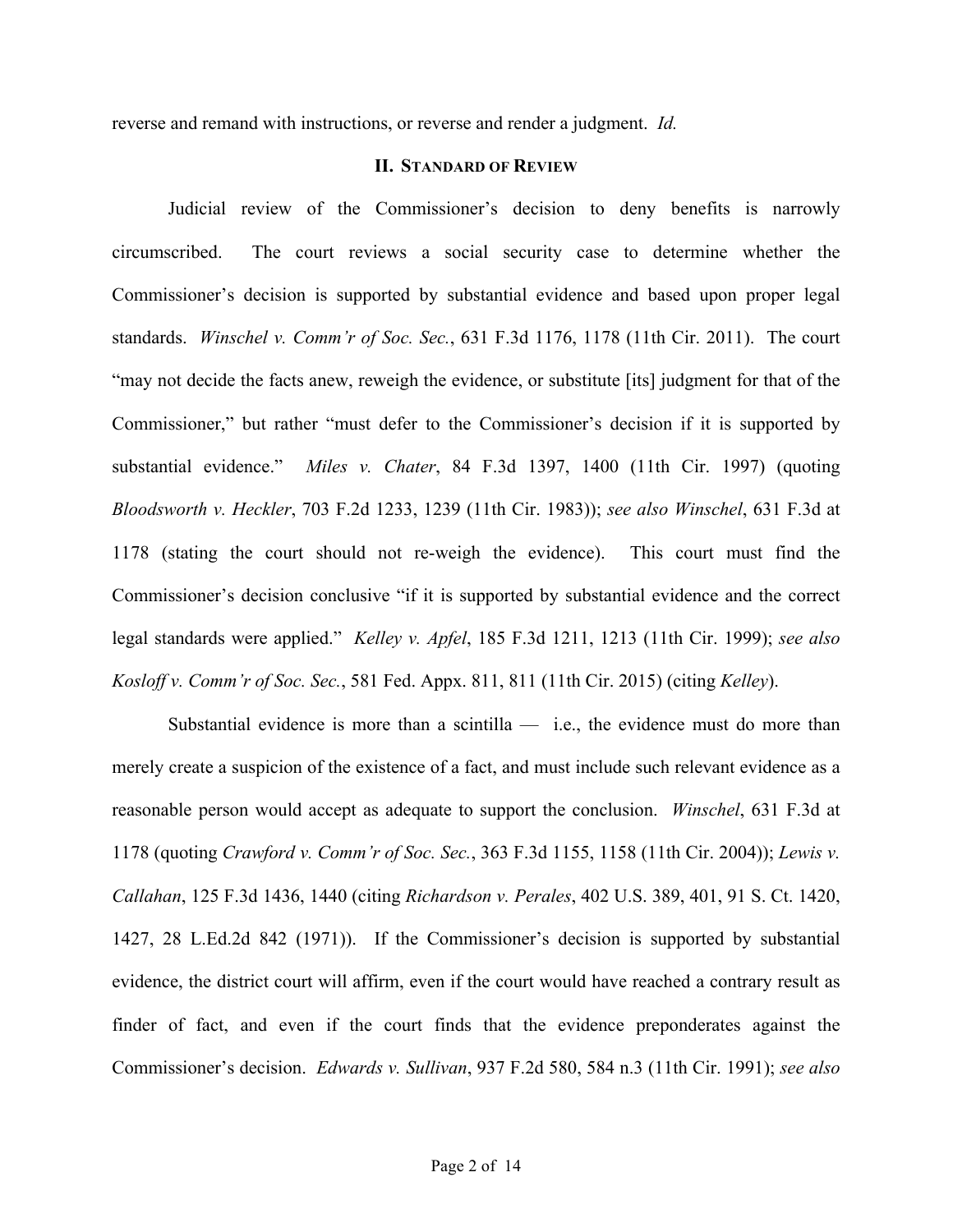reverse and remand with instructions, or reverse and render a judgment. *Id.*

#### **II. STANDARD OF REVIEW**

Judicial review of the Commissioner's decision to deny benefits is narrowly circumscribed. The court reviews a social security case to determine whether the Commissioner's decision is supported by substantial evidence and based upon proper legal standards. *Winschel v. Comm'r of Soc. Sec.*, 631 F.3d 1176, 1178 (11th Cir. 2011). The court "may not decide the facts anew, reweigh the evidence, or substitute [its] judgment for that of the Commissioner," but rather "must defer to the Commissioner's decision if it is supported by substantial evidence." *Miles v. Chater*, 84 F.3d 1397, 1400 (11th Cir. 1997) (quoting *Bloodsworth v. Heckler*, 703 F.2d 1233, 1239 (11th Cir. 1983)); *see also Winschel*, 631 F.3d at 1178 (stating the court should not re-weigh the evidence). This court must find the Commissioner's decision conclusive "if it is supported by substantial evidence and the correct legal standards were applied." *Kelley v. Apfel*, 185 F.3d 1211, 1213 (11th Cir. 1999); *see also Kosloff v. Comm'r of Soc. Sec.*, 581 Fed. Appx. 811, 811 (11th Cir. 2015) (citing *Kelley*).

Substantial evidence is more than a scintilla  $-$  i.e., the evidence must do more than merely create a suspicion of the existence of a fact, and must include such relevant evidence as a reasonable person would accept as adequate to support the conclusion. *Winschel*, 631 F.3d at 1178 (quoting *Crawford v. Comm'r of Soc. Sec.*, 363 F.3d 1155, 1158 (11th Cir. 2004)); *Lewis v. Callahan*, 125 F.3d 1436, 1440 (citing *Richardson v. Perales*, 402 U.S. 389, 401, 91 S. Ct. 1420, 1427, 28 L.Ed.2d 842 (1971)). If the Commissioner's decision is supported by substantial evidence, the district court will affirm, even if the court would have reached a contrary result as finder of fact, and even if the court finds that the evidence preponderates against the Commissioner's decision. *Edwards v. Sullivan*, 937 F.2d 580, 584 n.3 (11th Cir. 1991); *see also*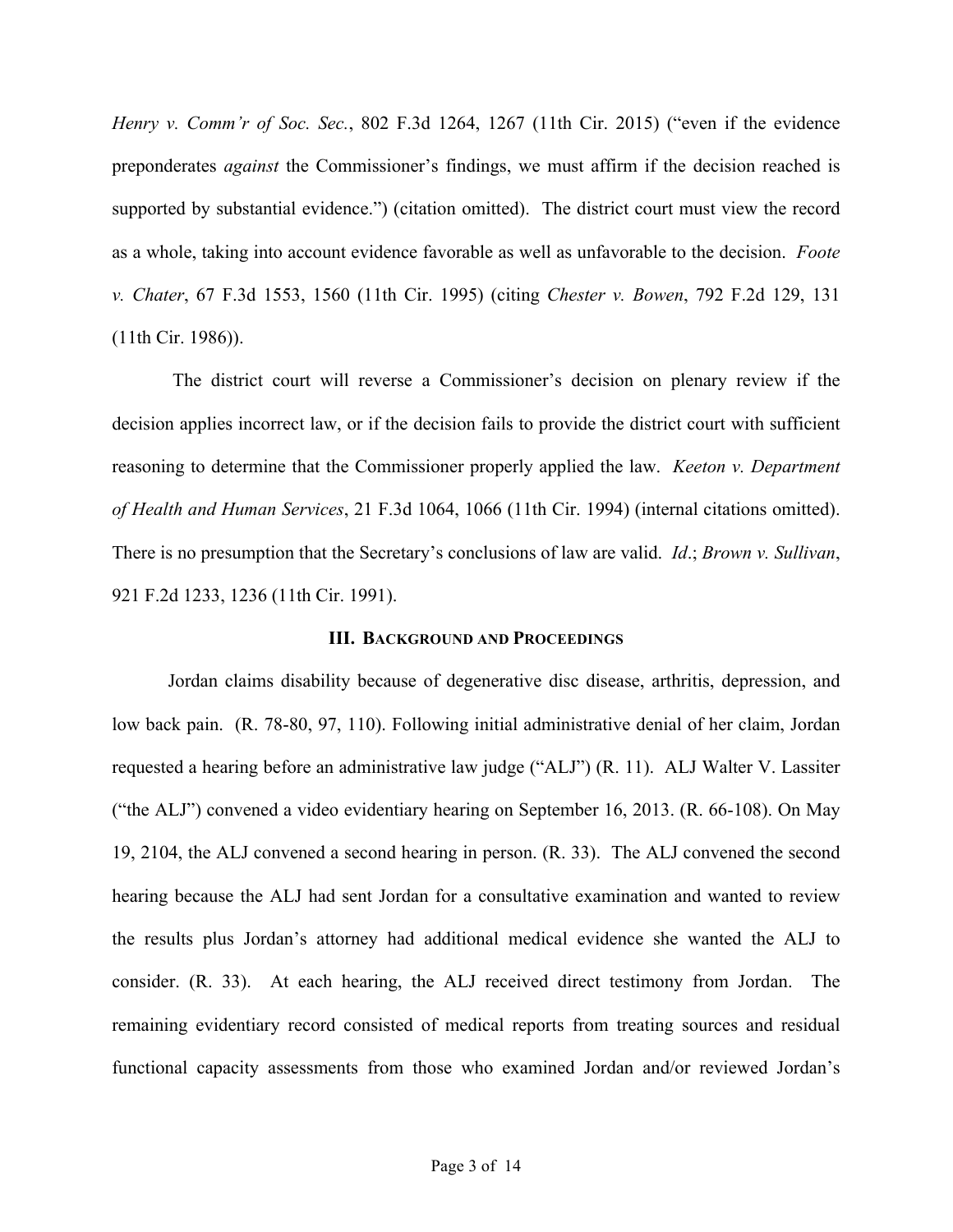*Henry v. Comm'r of Soc. Sec.*, 802 F.3d 1264, 1267 (11th Cir. 2015) ("even if the evidence preponderates *against* the Commissioner's findings, we must affirm if the decision reached is supported by substantial evidence.") (citation omitted). The district court must view the record as a whole, taking into account evidence favorable as well as unfavorable to the decision. *Foote v. Chater*, 67 F.3d 1553, 1560 (11th Cir. 1995) (citing *Chester v. Bowen*, 792 F.2d 129, 131 (11th Cir. 1986)).

The district court will reverse a Commissioner's decision on plenary review if the decision applies incorrect law, or if the decision fails to provide the district court with sufficient reasoning to determine that the Commissioner properly applied the law. *Keeton v. Department of Health and Human Services*, 21 F.3d 1064, 1066 (11th Cir. 1994) (internal citations omitted). There is no presumption that the Secretary's conclusions of law are valid. *Id*.; *Brown v. Sullivan*, 921 F.2d 1233, 1236 (11th Cir. 1991).

#### **III. BACKGROUND AND PROCEEDINGS**

Jordan claims disability because of degenerative disc disease, arthritis, depression, and low back pain. (R. 78-80, 97, 110). Following initial administrative denial of her claim, Jordan requested a hearing before an administrative law judge ("ALJ") (R. 11). ALJ Walter V. Lassiter ("the ALJ") convened a video evidentiary hearing on September 16, 2013. (R. 66-108). On May 19, 2104, the ALJ convened a second hearing in person. (R. 33). The ALJ convened the second hearing because the ALJ had sent Jordan for a consultative examination and wanted to review the results plus Jordan's attorney had additional medical evidence she wanted the ALJ to consider. (R. 33). At each hearing, the ALJ received direct testimony from Jordan. The remaining evidentiary record consisted of medical reports from treating sources and residual functional capacity assessments from those who examined Jordan and/or reviewed Jordan's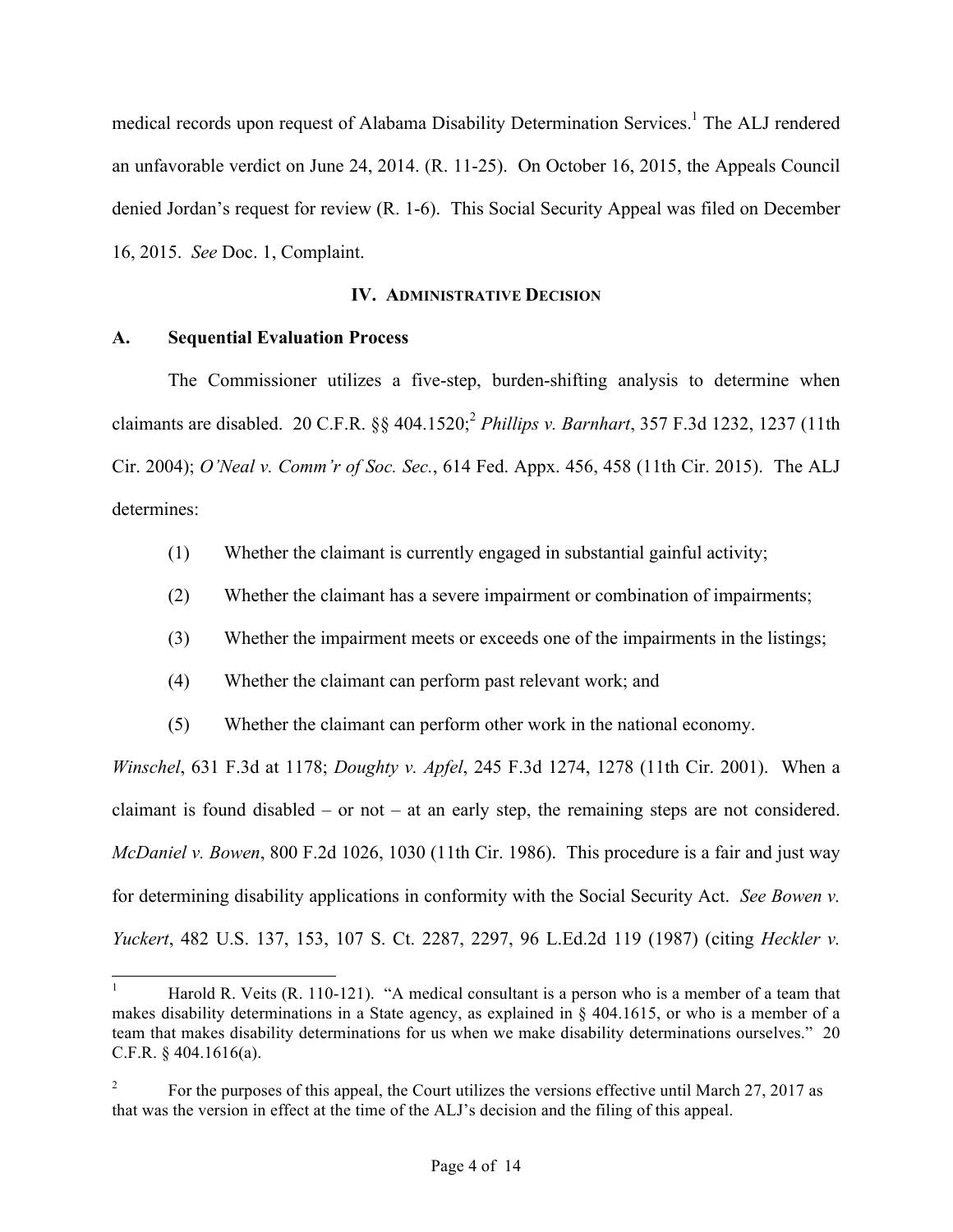medical records upon request of Alabama Disability Determination Services.<sup>1</sup> The ALJ rendered an unfavorable verdict on June 24, 2014. (R. 11-25). On October 16, 2015, the Appeals Council denied Jordan's request for review (R. 1-6). This Social Security Appeal was filed on December 16, 2015. *See* Doc. 1, Complaint.

### **IV. ADMINISTRATIVE DECISION**

## **A. Sequential Evaluation Process**

The Commissioner utilizes a five-step, burden-shifting analysis to determine when claimants are disabled. 20 C.F.R. §§ 404.1520; <sup>2</sup> *Phillips v. Barnhart*, 357 F.3d 1232, 1237 (11th Cir. 2004); *O'Neal v. Comm'r of Soc. Sec.*, 614 Fed. Appx. 456, 458 (11th Cir. 2015). The ALJ determines:

- (1) Whether the claimant is currently engaged in substantial gainful activity;
- (2) Whether the claimant has a severe impairment or combination of impairments;
- (3) Whether the impairment meets or exceeds one of the impairments in the listings;
- (4) Whether the claimant can perform past relevant work; and
- (5) Whether the claimant can perform other work in the national economy.

*Winschel*, 631 F.3d at 1178; *Doughty v. Apfel*, 245 F.3d 1274, 1278 (11th Cir. 2001). When a claimant is found disabled – or not – at an early step, the remaining steps are not considered. *McDaniel v. Bowen*, 800 F.2d 1026, 1030 (11th Cir. 1986). This procedure is a fair and just way for determining disability applications in conformity with the Social Security Act. *See Bowen v. Yuckert*, 482 U.S. 137, 153, 107 S. Ct. 2287, 2297, 96 L.Ed.2d 119 (1987) (citing *Heckler v.* 

 <sup>1</sup> Harold R. Veits (R. 110-121). "A medical consultant is a person who is a member of a team that makes disability determinations in a State agency, as explained in § 404.1615, or who is a member of a team that makes disability determinations for us when we make disability determinations ourselves." 20 C.F.R. § 404.1616(a).

<sup>&</sup>lt;sup>2</sup> For the purposes of this appeal, the Court utilizes the versions effective until March 27, 2017 as that was the version in effect at the time of the ALJ's decision and the filing of this appeal.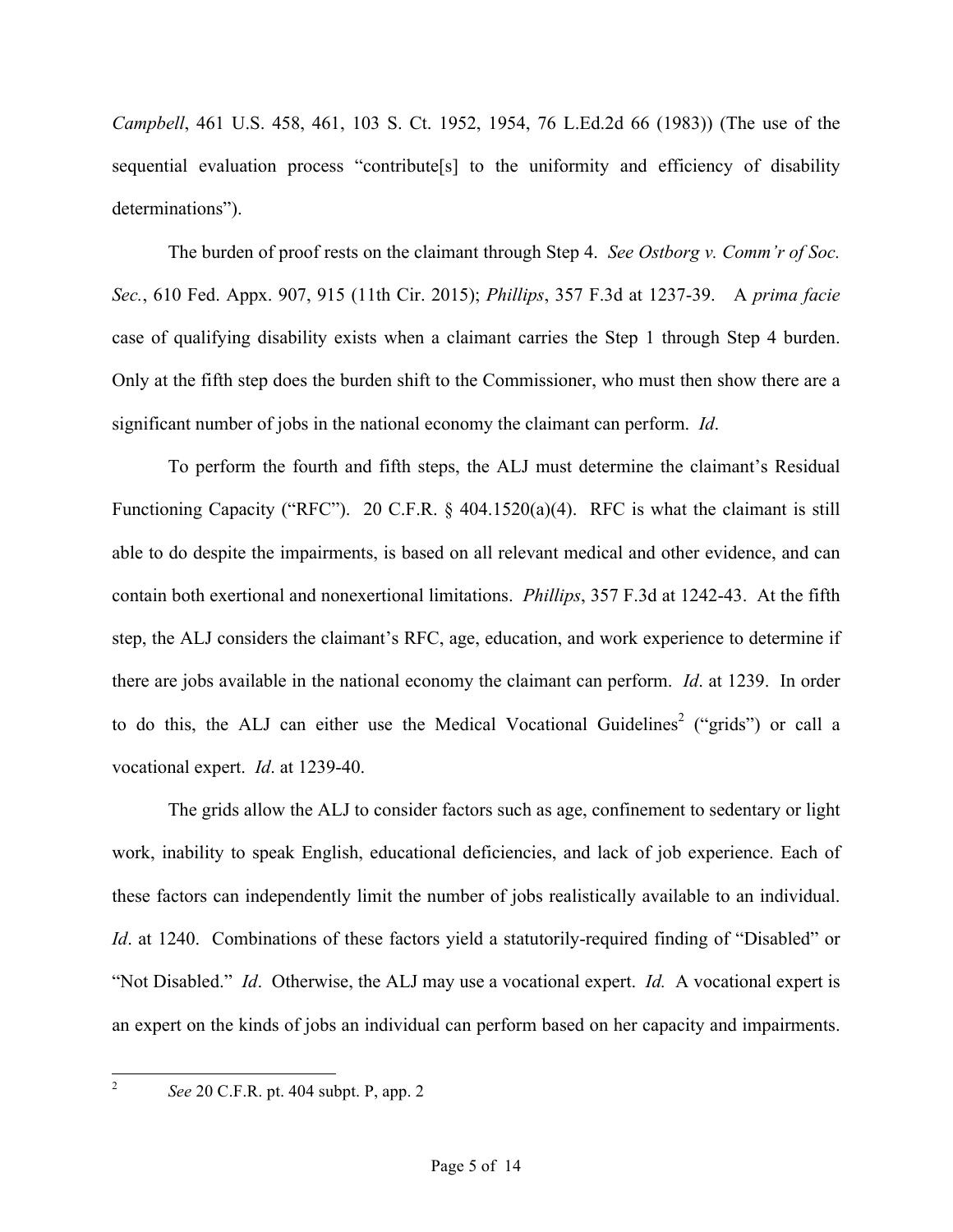*Campbell*, 461 U.S. 458, 461, 103 S. Ct. 1952, 1954, 76 L.Ed.2d 66 (1983)) (The use of the sequential evaluation process "contribute[s] to the uniformity and efficiency of disability determinations").

The burden of proof rests on the claimant through Step 4. *See Ostborg v. Comm'r of Soc. Sec.*, 610 Fed. Appx. 907, 915 (11th Cir. 2015); *Phillips*, 357 F.3d at 1237-39. A *prima facie* case of qualifying disability exists when a claimant carries the Step 1 through Step 4 burden. Only at the fifth step does the burden shift to the Commissioner, who must then show there are a significant number of jobs in the national economy the claimant can perform. *Id*.

To perform the fourth and fifth steps, the ALJ must determine the claimant's Residual Functioning Capacity ("RFC"). 20 C.F.R. § 404.1520(a)(4). RFC is what the claimant is still able to do despite the impairments, is based on all relevant medical and other evidence, and can contain both exertional and nonexertional limitations. *Phillips*, 357 F.3d at 1242-43. At the fifth step, the ALJ considers the claimant's RFC, age, education, and work experience to determine if there are jobs available in the national economy the claimant can perform. *Id*. at 1239. In order to do this, the ALJ can either use the Medical Vocational Guidelines<sup>2</sup> ("grids") or call a vocational expert. *Id*. at 1239-40.

The grids allow the ALJ to consider factors such as age, confinement to sedentary or light work, inability to speak English, educational deficiencies, and lack of job experience. Each of these factors can independently limit the number of jobs realistically available to an individual. *Id.* at 1240. Combinations of these factors yield a statutorily-required finding of "Disabled" or "Not Disabled." *Id*. Otherwise, the ALJ may use a vocational expert. *Id.* A vocational expert is an expert on the kinds of jobs an individual can perform based on her capacity and impairments.

 <sup>2</sup> *See* 20 C.F.R. pt. 404 subpt. P, app. 2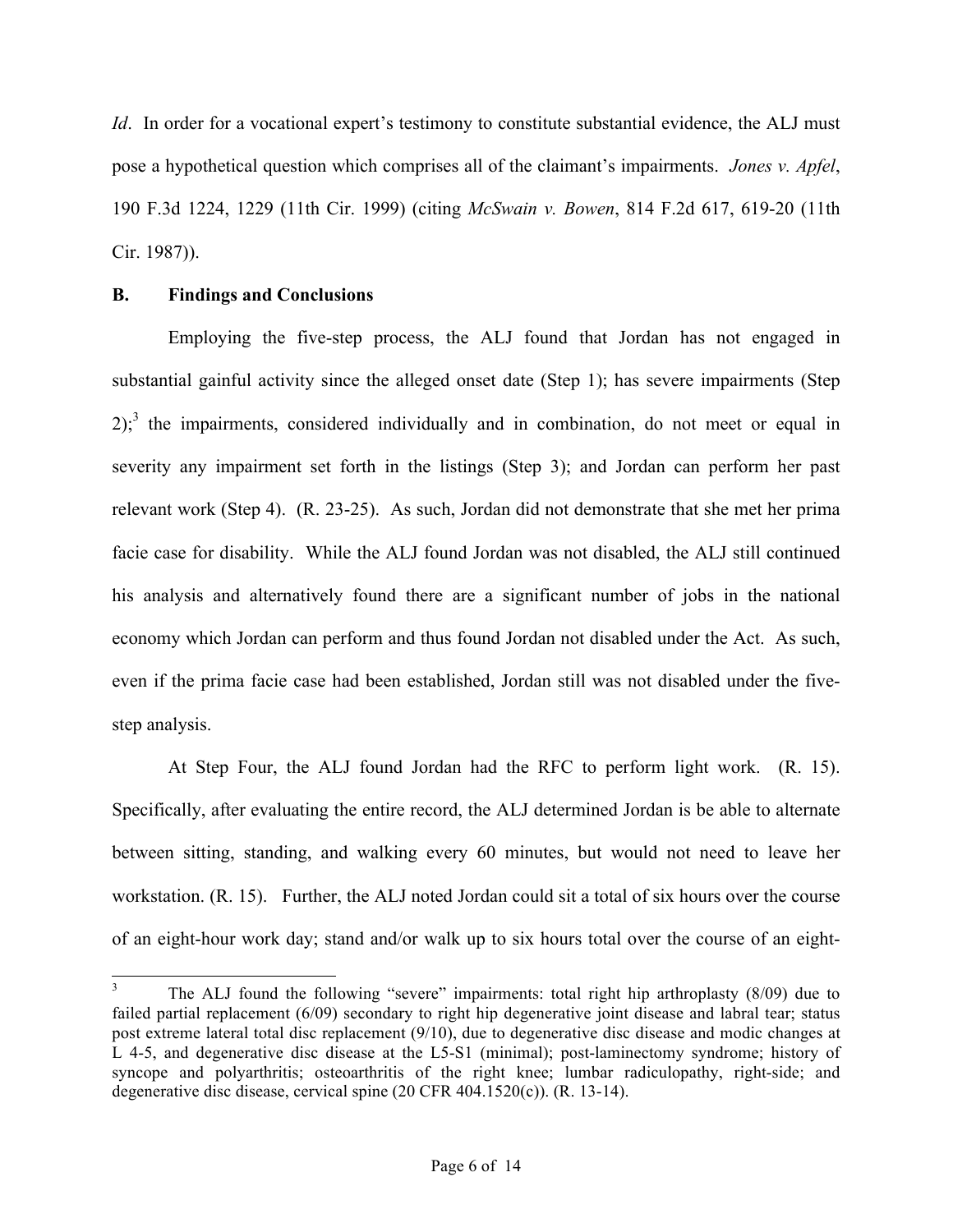*Id*. In order for a vocational expert's testimony to constitute substantial evidence, the ALJ must pose a hypothetical question which comprises all of the claimant's impairments. *Jones v. Apfel*, 190 F.3d 1224, 1229 (11th Cir. 1999) (citing *McSwain v. Bowen*, 814 F.2d 617, 619-20 (11th Cir. 1987)).

### **B. Findings and Conclusions**

Employing the five-step process, the ALJ found that Jordan has not engaged in substantial gainful activity since the alleged onset date (Step 1); has severe impairments (Step  $2$ ;<sup>3</sup> the impairments, considered individually and in combination, do not meet or equal in severity any impairment set forth in the listings (Step 3); and Jordan can perform her past relevant work (Step 4). (R. 23-25). As such, Jordan did not demonstrate that she met her prima facie case for disability. While the ALJ found Jordan was not disabled, the ALJ still continued his analysis and alternatively found there are a significant number of jobs in the national economy which Jordan can perform and thus found Jordan not disabled under the Act. As such, even if the prima facie case had been established, Jordan still was not disabled under the fivestep analysis.

At Step Four, the ALJ found Jordan had the RFC to perform light work. (R. 15). Specifically, after evaluating the entire record, the ALJ determined Jordan is be able to alternate between sitting, standing, and walking every 60 minutes, but would not need to leave her workstation. (R. 15). Further, the ALJ noted Jordan could sit a total of six hours over the course of an eight-hour work day; stand and/or walk up to six hours total over the course of an eight-

 $3$  The ALJ found the following "severe" impairments: total right hip arthroplasty (8/09) due to failed partial replacement (6/09) secondary to right hip degenerative joint disease and labral tear; status post extreme lateral total disc replacement (9/10), due to degenerative disc disease and modic changes at L 4-5, and degenerative disc disease at the L5-S1 (minimal); post-laminectomy syndrome; history of syncope and polyarthritis; osteoarthritis of the right knee; lumbar radiculopathy, right-side; and degenerative disc disease, cervical spine (20 CFR 404.1520(c)). (R. 13-14).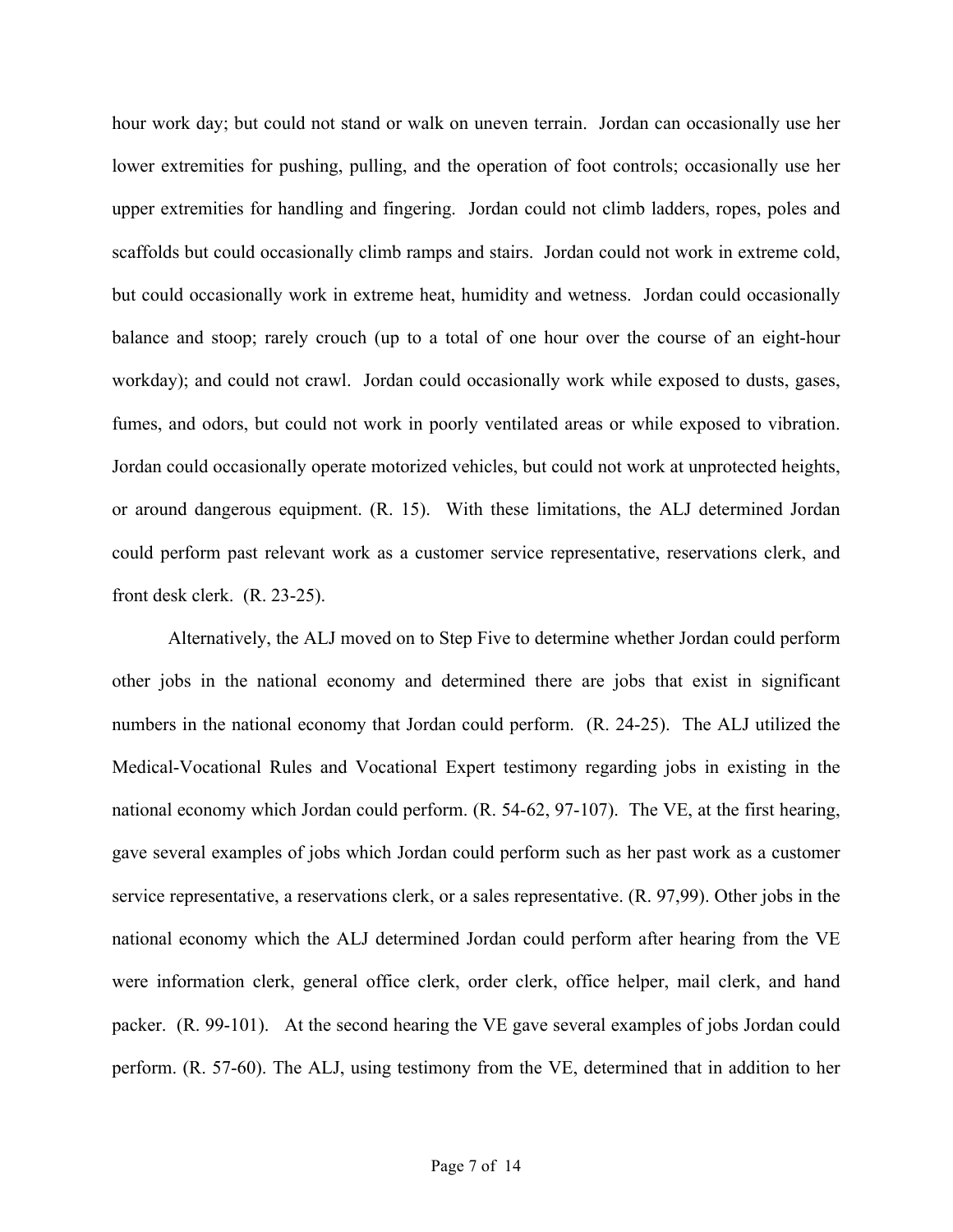hour work day; but could not stand or walk on uneven terrain. Jordan can occasionally use her lower extremities for pushing, pulling, and the operation of foot controls; occasionally use her upper extremities for handling and fingering. Jordan could not climb ladders, ropes, poles and scaffolds but could occasionally climb ramps and stairs. Jordan could not work in extreme cold, but could occasionally work in extreme heat, humidity and wetness. Jordan could occasionally balance and stoop; rarely crouch (up to a total of one hour over the course of an eight-hour workday); and could not crawl. Jordan could occasionally work while exposed to dusts, gases, fumes, and odors, but could not work in poorly ventilated areas or while exposed to vibration. Jordan could occasionally operate motorized vehicles, but could not work at unprotected heights, or around dangerous equipment. (R. 15). With these limitations, the ALJ determined Jordan could perform past relevant work as a customer service representative, reservations clerk, and front desk clerk. (R. 23-25).

Alternatively, the ALJ moved on to Step Five to determine whether Jordan could perform other jobs in the national economy and determined there are jobs that exist in significant numbers in the national economy that Jordan could perform. (R. 24-25). The ALJ utilized the Medical-Vocational Rules and Vocational Expert testimony regarding jobs in existing in the national economy which Jordan could perform. (R. 54-62, 97-107). The VE, at the first hearing, gave several examples of jobs which Jordan could perform such as her past work as a customer service representative, a reservations clerk, or a sales representative. (R. 97,99). Other jobs in the national economy which the ALJ determined Jordan could perform after hearing from the VE were information clerk, general office clerk, order clerk, office helper, mail clerk, and hand packer. (R. 99-101). At the second hearing the VE gave several examples of jobs Jordan could perform. (R. 57-60). The ALJ, using testimony from the VE, determined that in addition to her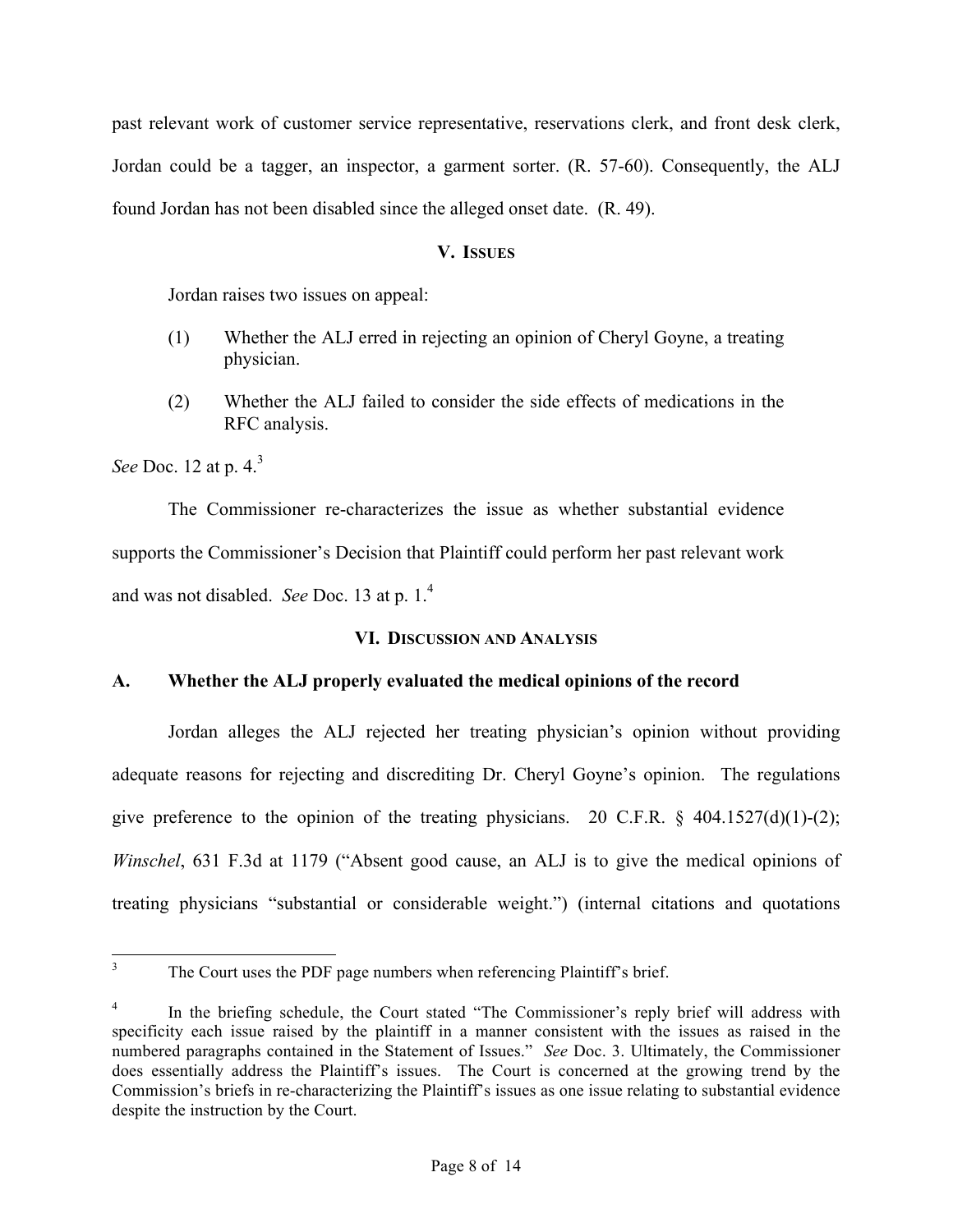past relevant work of customer service representative, reservations clerk, and front desk clerk, Jordan could be a tagger, an inspector, a garment sorter. (R. 57-60). Consequently, the ALJ found Jordan has not been disabled since the alleged onset date. (R. 49).

### **V. ISSUES**

Jordan raises two issues on appeal:

- (1) Whether the ALJ erred in rejecting an opinion of Cheryl Goyne, a treating physician.
- (2) Whether the ALJ failed to consider the side effects of medications in the RFC analysis.

*See Doc.* 12 at p. 4.<sup>3</sup>

The Commissioner re-characterizes the issue as whether substantial evidence supports the Commissioner's Decision that Plaintiff could perform her past relevant work and was not disabled. *See* Doc. 13 at p. 1.4

# **VI. DISCUSSION AND ANALYSIS**

# **A. Whether the ALJ properly evaluated the medical opinions of the record**

Jordan alleges the ALJ rejected her treating physician's opinion without providing adequate reasons for rejecting and discrediting Dr. Cheryl Goyne's opinion. The regulations give preference to the opinion of the treating physicians. 20 C.F.R.  $\S$  404.1527(d)(1)-(2); *Winschel*, 631 F.3d at 1179 ("Absent good cause, an ALJ is to give the medical opinions of treating physicians "substantial or considerable weight.") (internal citations and quotations

<sup>&</sup>lt;sup>3</sup> The Court uses the PDF page numbers when referencing Plaintiff's brief.

In the briefing schedule, the Court stated "The Commissioner's reply brief will address with specificity each issue raised by the plaintiff in a manner consistent with the issues as raised in the numbered paragraphs contained in the Statement of Issues." *See* Doc. 3. Ultimately, the Commissioner does essentially address the Plaintiff's issues. The Court is concerned at the growing trend by the Commission's briefs in re-characterizing the Plaintiff's issues as one issue relating to substantial evidence despite the instruction by the Court.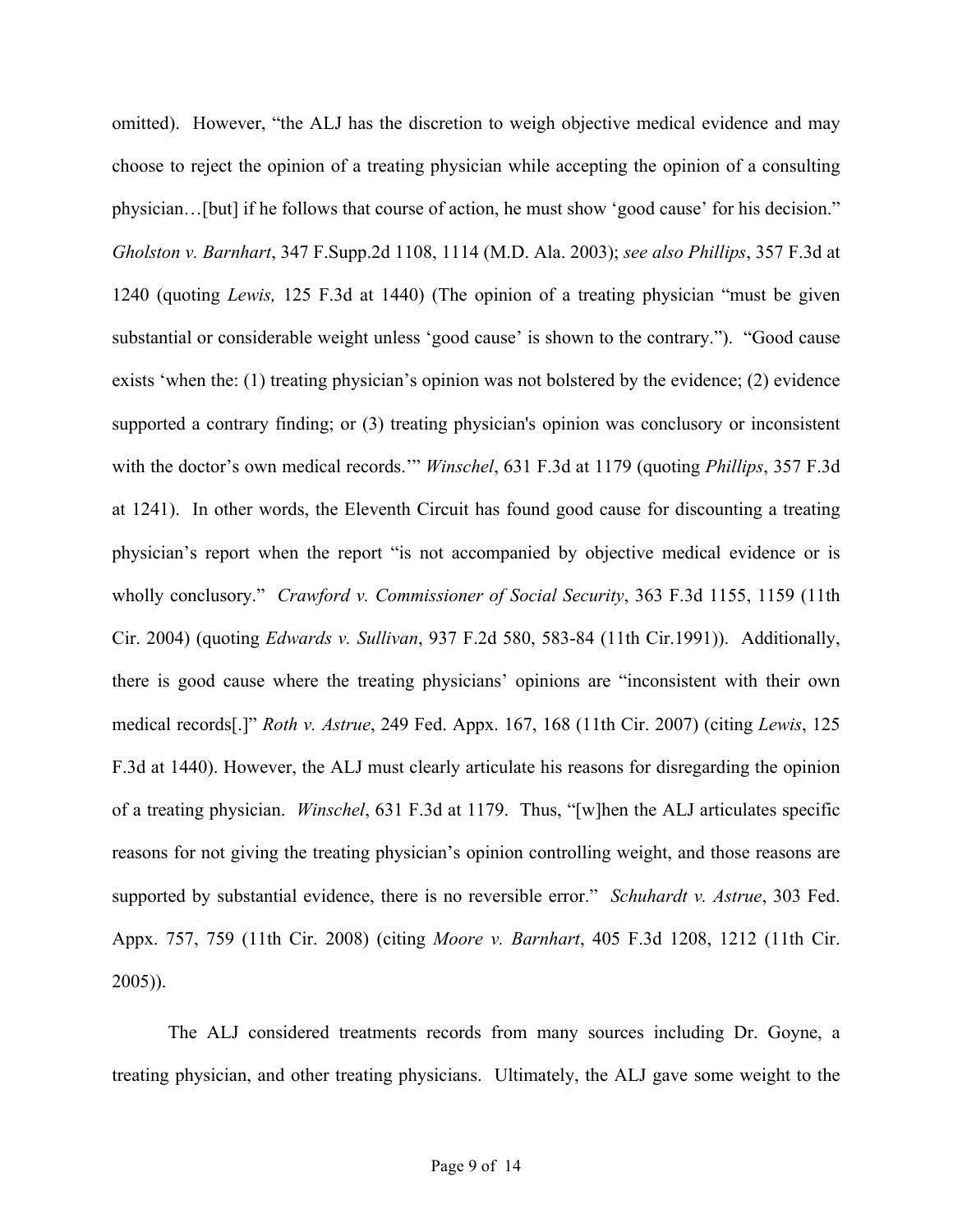omitted). However, "the ALJ has the discretion to weigh objective medical evidence and may choose to reject the opinion of a treating physician while accepting the opinion of a consulting physician…[but] if he follows that course of action, he must show 'good cause' for his decision." *Gholston v. Barnhart*, 347 F.Supp.2d 1108, 1114 (M.D. Ala. 2003); *see also Phillips*, 357 F.3d at 1240 (quoting *Lewis,* 125 F.3d at 1440) (The opinion of a treating physician "must be given substantial or considerable weight unless 'good cause' is shown to the contrary."). "Good cause exists 'when the: (1) treating physician's opinion was not bolstered by the evidence; (2) evidence supported a contrary finding; or (3) treating physician's opinion was conclusory or inconsistent with the doctor's own medical records.'" *Winschel*, 631 F.3d at 1179 (quoting *Phillips*, 357 F.3d at 1241). In other words, the Eleventh Circuit has found good cause for discounting a treating physician's report when the report "is not accompanied by objective medical evidence or is wholly conclusory." *Crawford v. Commissioner of Social Security*, 363 F.3d 1155, 1159 (11th Cir. 2004) (quoting *Edwards v. Sullivan*, 937 F.2d 580, 583-84 (11th Cir.1991)). Additionally, there is good cause where the treating physicians' opinions are "inconsistent with their own medical records[.]" *Roth v. Astrue*, 249 Fed. Appx. 167, 168 (11th Cir. 2007) (citing *Lewis*, 125 F.3d at 1440). However, the ALJ must clearly articulate his reasons for disregarding the opinion of a treating physician. *Winschel*, 631 F.3d at 1179. Thus, "[w]hen the ALJ articulates specific reasons for not giving the treating physician's opinion controlling weight, and those reasons are supported by substantial evidence, there is no reversible error." *Schuhardt v. Astrue*, 303 Fed. Appx. 757, 759 (11th Cir. 2008) (citing *Moore v. Barnhart*, 405 F.3d 1208, 1212 (11th Cir. 2005)).

The ALJ considered treatments records from many sources including Dr. Goyne, a treating physician, and other treating physicians. Ultimately, the ALJ gave some weight to the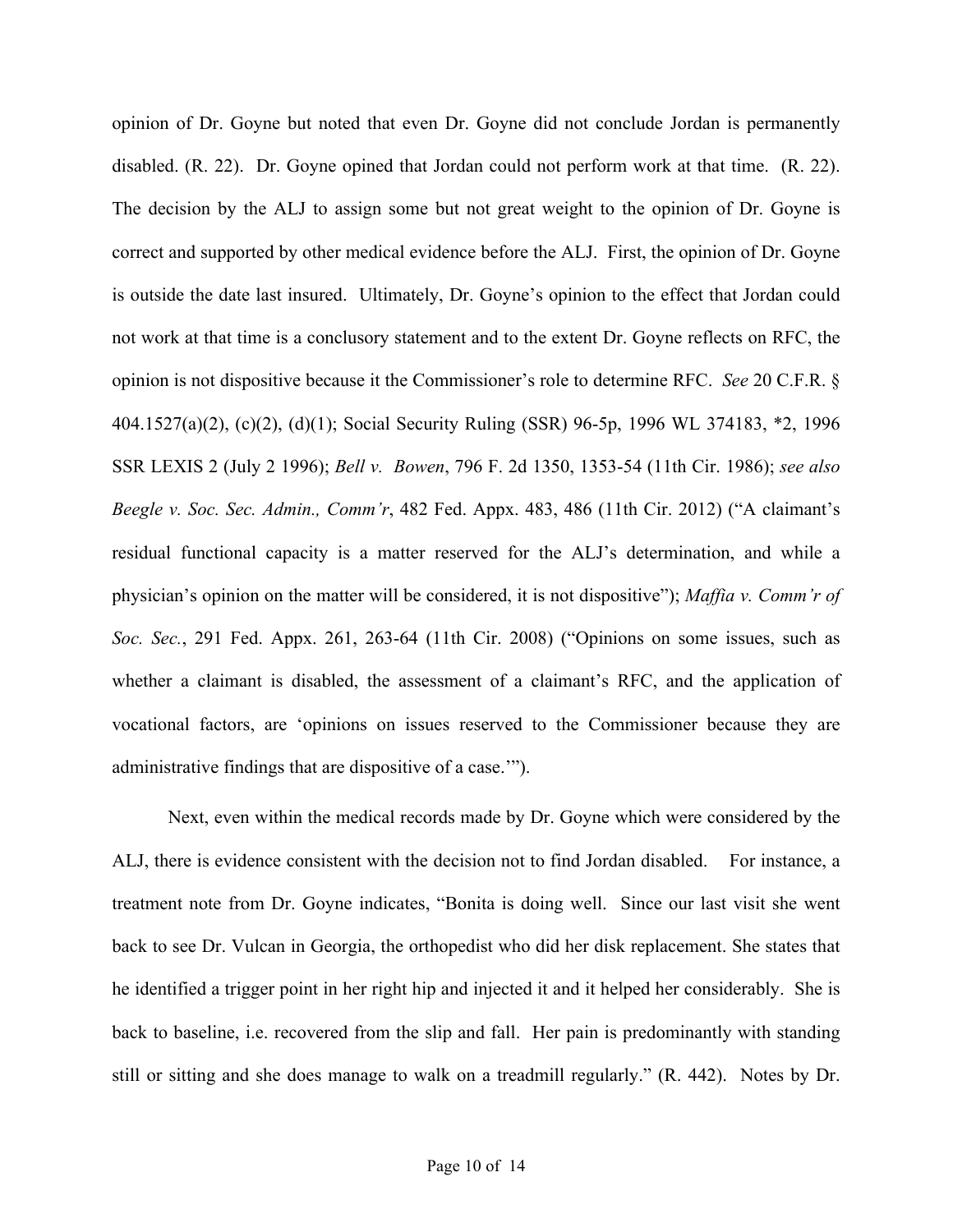opinion of Dr. Goyne but noted that even Dr. Goyne did not conclude Jordan is permanently disabled. (R. 22). Dr. Goyne opined that Jordan could not perform work at that time. (R. 22). The decision by the ALJ to assign some but not great weight to the opinion of Dr. Goyne is correct and supported by other medical evidence before the ALJ. First, the opinion of Dr. Goyne is outside the date last insured. Ultimately, Dr. Goyne's opinion to the effect that Jordan could not work at that time is a conclusory statement and to the extent Dr. Goyne reflects on RFC, the opinion is not dispositive because it the Commissioner's role to determine RFC. *See* 20 C.F.R. § 404.1527(a)(2), (c)(2), (d)(1); Social Security Ruling (SSR) 96-5p, 1996 WL 374183, \*2, 1996 SSR LEXIS 2 (July 2 1996); *Bell v. Bowen*, 796 F. 2d 1350, 1353-54 (11th Cir. 1986); *see also Beegle v. Soc. Sec. Admin., Comm'r*, 482 Fed. Appx. 483, 486 (11th Cir. 2012) ("A claimant's residual functional capacity is a matter reserved for the ALJ's determination, and while a physician's opinion on the matter will be considered, it is not dispositive"); *Maffia v. Comm'r of Soc. Sec.*, 291 Fed. Appx. 261, 263-64 (11th Cir. 2008) ("Opinions on some issues, such as whether a claimant is disabled, the assessment of a claimant's RFC, and the application of vocational factors, are 'opinions on issues reserved to the Commissioner because they are administrative findings that are dispositive of a case.'").

Next, even within the medical records made by Dr. Goyne which were considered by the ALJ, there is evidence consistent with the decision not to find Jordan disabled. For instance, a treatment note from Dr. Goyne indicates, "Bonita is doing well. Since our last visit she went back to see Dr. Vulcan in Georgia, the orthopedist who did her disk replacement. She states that he identified a trigger point in her right hip and injected it and it helped her considerably. She is back to baseline, i.e. recovered from the slip and fall. Her pain is predominantly with standing still or sitting and she does manage to walk on a treadmill regularly." (R. 442). Notes by Dr.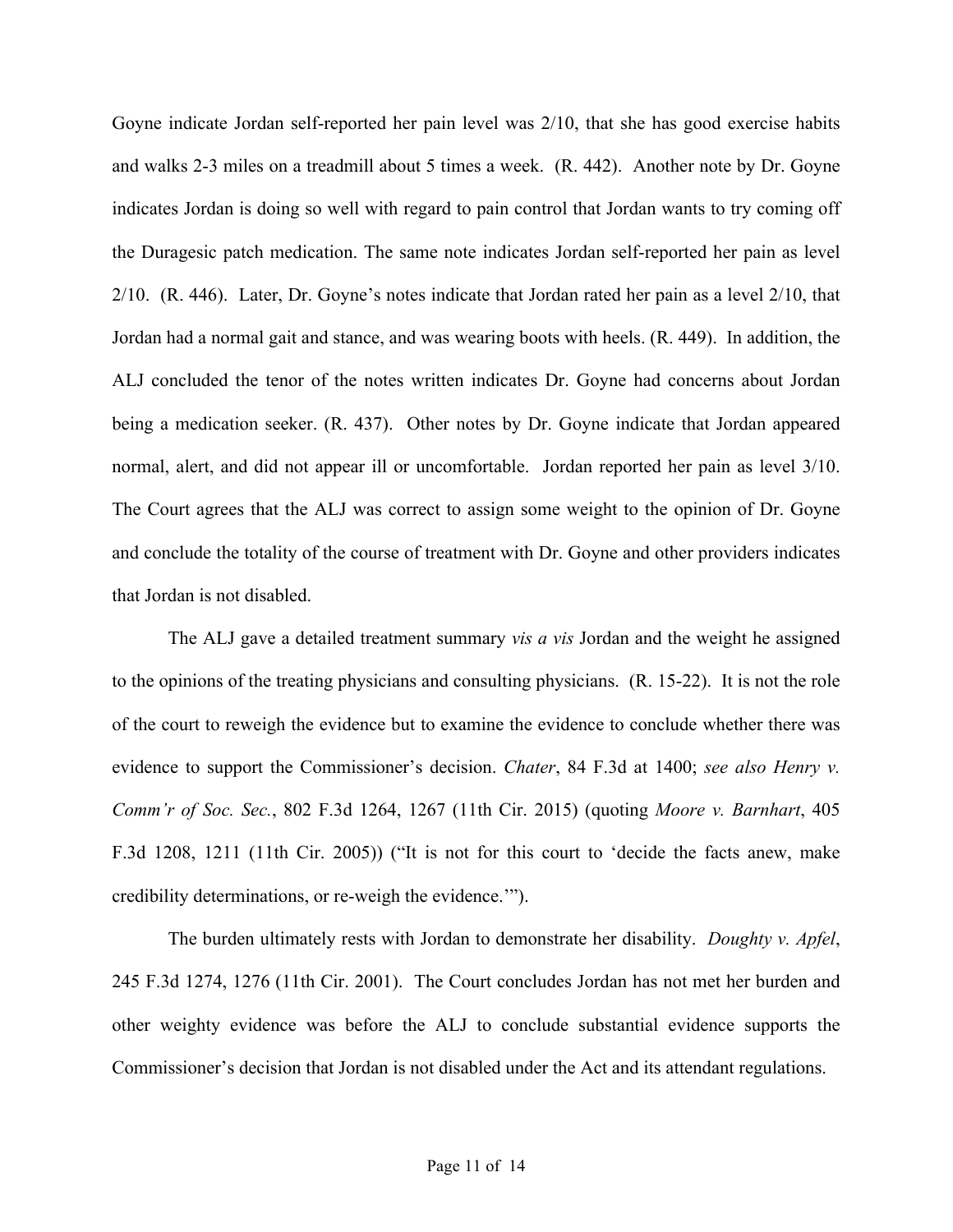Goyne indicate Jordan self-reported her pain level was 2/10, that she has good exercise habits and walks 2-3 miles on a treadmill about 5 times a week. (R. 442). Another note by Dr. Goyne indicates Jordan is doing so well with regard to pain control that Jordan wants to try coming off the Duragesic patch medication. The same note indicates Jordan self-reported her pain as level 2/10. (R. 446). Later, Dr. Goyne's notes indicate that Jordan rated her pain as a level 2/10, that Jordan had a normal gait and stance, and was wearing boots with heels. (R. 449). In addition, the ALJ concluded the tenor of the notes written indicates Dr. Goyne had concerns about Jordan being a medication seeker. (R. 437). Other notes by Dr. Goyne indicate that Jordan appeared normal, alert, and did not appear ill or uncomfortable. Jordan reported her pain as level 3/10. The Court agrees that the ALJ was correct to assign some weight to the opinion of Dr. Goyne and conclude the totality of the course of treatment with Dr. Goyne and other providers indicates that Jordan is not disabled.

The ALJ gave a detailed treatment summary *vis a vis* Jordan and the weight he assigned to the opinions of the treating physicians and consulting physicians. (R. 15-22). It is not the role of the court to reweigh the evidence but to examine the evidence to conclude whether there was evidence to support the Commissioner's decision. *Chater*, 84 F.3d at 1400; *see also Henry v. Comm'r of Soc. Sec.*, 802 F.3d 1264, 1267 (11th Cir. 2015) (quoting *Moore v. Barnhart*, 405 F.3d 1208, 1211 (11th Cir. 2005)) ("It is not for this court to 'decide the facts anew, make credibility determinations, or re-weigh the evidence.'").

The burden ultimately rests with Jordan to demonstrate her disability. *Doughty v. Apfel*, 245 F.3d 1274, 1276 (11th Cir. 2001). The Court concludes Jordan has not met her burden and other weighty evidence was before the ALJ to conclude substantial evidence supports the Commissioner's decision that Jordan is not disabled under the Act and its attendant regulations.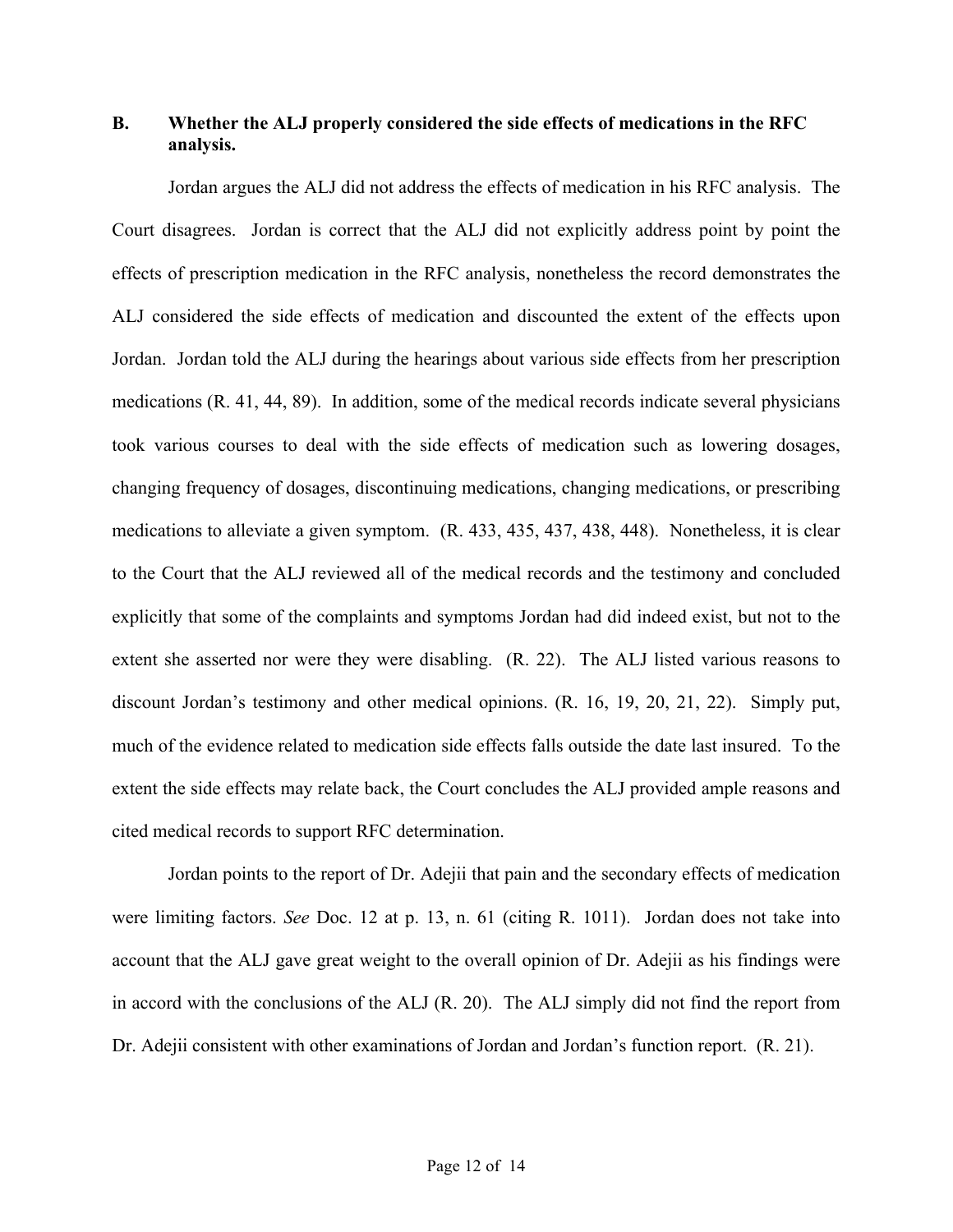# **B. Whether the ALJ properly considered the side effects of medications in the RFC analysis.**

Jordan argues the ALJ did not address the effects of medication in his RFC analysis. The Court disagrees. Jordan is correct that the ALJ did not explicitly address point by point the effects of prescription medication in the RFC analysis, nonetheless the record demonstrates the ALJ considered the side effects of medication and discounted the extent of the effects upon Jordan. Jordan told the ALJ during the hearings about various side effects from her prescription medications (R. 41, 44, 89). In addition, some of the medical records indicate several physicians took various courses to deal with the side effects of medication such as lowering dosages, changing frequency of dosages, discontinuing medications, changing medications, or prescribing medications to alleviate a given symptom. (R. 433, 435, 437, 438, 448). Nonetheless, it is clear to the Court that the ALJ reviewed all of the medical records and the testimony and concluded explicitly that some of the complaints and symptoms Jordan had did indeed exist, but not to the extent she asserted nor were they were disabling. (R. 22). The ALJ listed various reasons to discount Jordan's testimony and other medical opinions. (R. 16, 19, 20, 21, 22). Simply put, much of the evidence related to medication side effects falls outside the date last insured. To the extent the side effects may relate back, the Court concludes the ALJ provided ample reasons and cited medical records to support RFC determination.

Jordan points to the report of Dr. Adejii that pain and the secondary effects of medication were limiting factors. *See* Doc. 12 at p. 13, n. 61 (citing R. 1011). Jordan does not take into account that the ALJ gave great weight to the overall opinion of Dr. Adejii as his findings were in accord with the conclusions of the ALJ (R. 20). The ALJ simply did not find the report from Dr. Adejii consistent with other examinations of Jordan and Jordan's function report. (R. 21).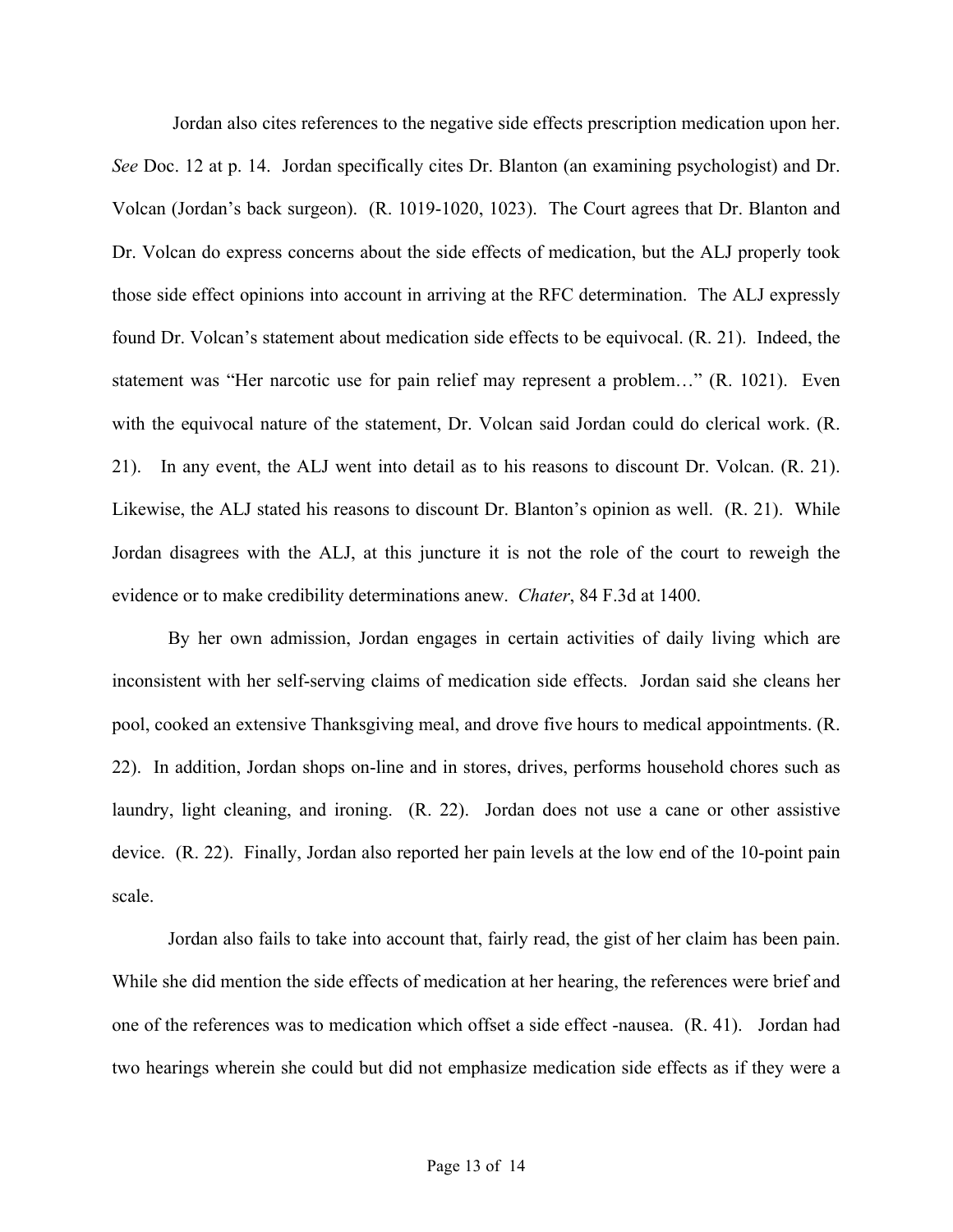Jordan also cites references to the negative side effects prescription medication upon her. *See* Doc. 12 at p. 14. Jordan specifically cites Dr. Blanton (an examining psychologist) and Dr. Volcan (Jordan's back surgeon). (R. 1019-1020, 1023). The Court agrees that Dr. Blanton and Dr. Volcan do express concerns about the side effects of medication, but the ALJ properly took those side effect opinions into account in arriving at the RFC determination. The ALJ expressly found Dr. Volcan's statement about medication side effects to be equivocal. (R. 21). Indeed, the statement was "Her narcotic use for pain relief may represent a problem…" (R. 1021). Even with the equivocal nature of the statement, Dr. Volcan said Jordan could do clerical work. (R. 21). In any event, the ALJ went into detail as to his reasons to discount Dr. Volcan. (R. 21). Likewise, the ALJ stated his reasons to discount Dr. Blanton's opinion as well. (R. 21). While Jordan disagrees with the ALJ, at this juncture it is not the role of the court to reweigh the evidence or to make credibility determinations anew. *Chater*, 84 F.3d at 1400.

By her own admission, Jordan engages in certain activities of daily living which are inconsistent with her self-serving claims of medication side effects. Jordan said she cleans her pool, cooked an extensive Thanksgiving meal, and drove five hours to medical appointments. (R. 22). In addition, Jordan shops on-line and in stores, drives, performs household chores such as laundry, light cleaning, and ironing. (R. 22). Jordan does not use a cane or other assistive device. (R. 22). Finally, Jordan also reported her pain levels at the low end of the 10-point pain scale.

Jordan also fails to take into account that, fairly read, the gist of her claim has been pain. While she did mention the side effects of medication at her hearing, the references were brief and one of the references was to medication which offset a side effect -nausea. (R. 41). Jordan had two hearings wherein she could but did not emphasize medication side effects as if they were a